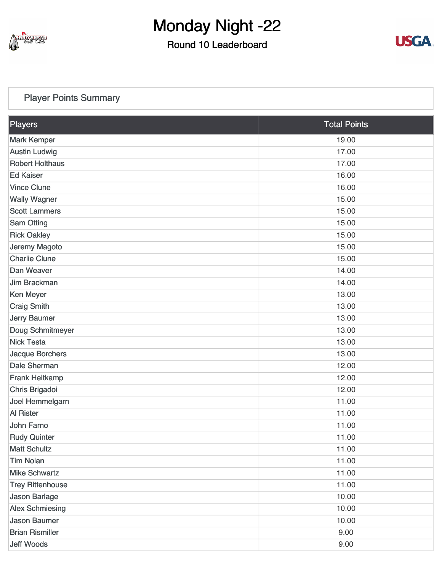

### Round 10 Leaderboard



### [Player Points Summary](https://static.golfgenius.com/v2tournaments/total_points?league_id=8103114973338674340&round_id=8103116697902261443)

| Players                 | <b>Total Points</b> |
|-------------------------|---------------------|
| <b>Mark Kemper</b>      | 19.00               |
| <b>Austin Ludwig</b>    | 17.00               |
| <b>Robert Holthaus</b>  | 17.00               |
| <b>Ed Kaiser</b>        | 16.00               |
| <b>Vince Clune</b>      | 16.00               |
| <b>Wally Wagner</b>     | 15.00               |
| <b>Scott Lammers</b>    | 15.00               |
| <b>Sam Otting</b>       | 15.00               |
| <b>Rick Oakley</b>      | 15.00               |
| Jeremy Magoto           | 15.00               |
| <b>Charlie Clune</b>    | 15.00               |
| Dan Weaver              | 14.00               |
| Jim Brackman            | 14.00               |
| <b>Ken Meyer</b>        | 13.00               |
| <b>Craig Smith</b>      | 13.00               |
| <b>Jerry Baumer</b>     | 13.00               |
| Doug Schmitmeyer        | 13.00               |
| <b>Nick Testa</b>       | 13.00               |
| Jacque Borchers         | 13.00               |
| Dale Sherman            | 12.00               |
| <b>Frank Heitkamp</b>   | 12.00               |
| Chris Brigadoi          | 12.00               |
| Joel Hemmelgarn         | 11.00               |
| <b>Al Rister</b>        | 11.00               |
| John Farno              | 11.00               |
| <b>Rudy Quinter</b>     | 11.00               |
| <b>Matt Schultz</b>     | 11.00               |
| <b>Tim Nolan</b>        | 11.00               |
| <b>Mike Schwartz</b>    | 11.00               |
| <b>Trey Rittenhouse</b> | 11.00               |
| <b>Jason Barlage</b>    | 10.00               |
| <b>Alex Schmiesing</b>  | 10.00               |
| <b>Jason Baumer</b>     | 10.00               |
| <b>Brian Rismiller</b>  | 9.00                |
| <b>Jeff Woods</b>       | 9.00                |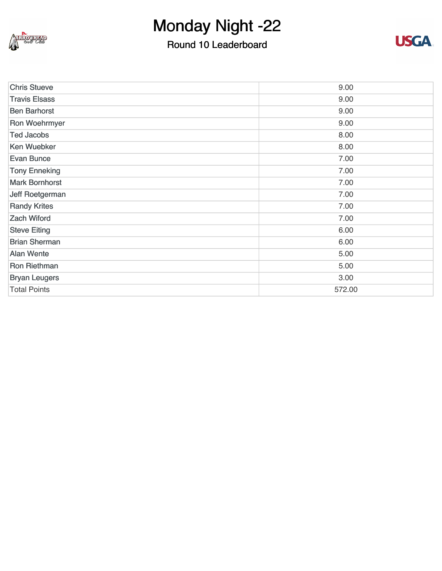

## Round 10 Leaderboard



| <b>Chris Stueve</b>   | 9.00   |
|-----------------------|--------|
| <b>Travis Elsass</b>  | 9.00   |
| <b>Ben Barhorst</b>   | 9.00   |
| Ron Woehrmyer         | 9.00   |
| <b>Ted Jacobs</b>     | 8.00   |
| <b>Ken Wuebker</b>    | 8.00   |
| <b>Evan Bunce</b>     | 7.00   |
| <b>Tony Enneking</b>  | 7.00   |
| <b>Mark Bornhorst</b> | 7.00   |
| Jeff Roetgerman       | 7.00   |
| <b>Randy Krites</b>   | 7.00   |
| <b>Zach Wiford</b>    | 7.00   |
| <b>Steve Eiting</b>   | 6.00   |
| <b>Brian Sherman</b>  | 6.00   |
| <b>Alan Wente</b>     | 5.00   |
| <b>Ron Riethman</b>   | 5.00   |
| <b>Bryan Leugers</b>  | 3.00   |
| <b>Total Points</b>   | 572.00 |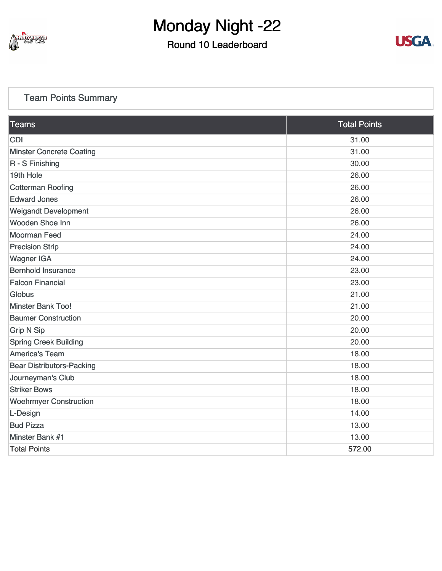

### Round 10 Leaderboard



### [Team Points Summary](https://static.golfgenius.com/v2tournaments/team_points?league_id=8103114973338674340&round_id=8103116697902261443)

| <b>Teams</b>                     | <b>Total Points</b> |
|----------------------------------|---------------------|
| <b>CDI</b>                       | 31.00               |
| <b>Minster Concrete Coating</b>  | 31.00               |
| R - S Finishing                  | 30.00               |
| 19th Hole                        | 26.00               |
| <b>Cotterman Roofing</b>         | 26.00               |
| <b>Edward Jones</b>              | 26.00               |
| <b>Weigandt Development</b>      | 26.00               |
| Wooden Shoe Inn                  | 26.00               |
| <b>Moorman Feed</b>              | 24.00               |
| <b>Precision Strip</b>           | 24.00               |
| <b>Wagner IGA</b>                | 24.00               |
| <b>Bernhold Insurance</b>        | 23.00               |
| <b>Falcon Financial</b>          | 23.00               |
| <b>Globus</b>                    | 21.00               |
| <b>Minster Bank Too!</b>         | 21.00               |
| <b>Baumer Construction</b>       | 20.00               |
| <b>Grip N Sip</b>                | 20.00               |
| <b>Spring Creek Building</b>     | 20.00               |
| <b>America's Team</b>            | 18.00               |
| <b>Bear Distributors-Packing</b> | 18.00               |
| Journeyman's Club                | 18.00               |
| <b>Striker Bows</b>              | 18.00               |
| <b>Woehrmyer Construction</b>    | 18.00               |
| L-Design                         | 14.00               |
| <b>Bud Pizza</b>                 | 13.00               |
| Minster Bank #1                  | 13.00               |
| <b>Total Points</b>              | 572.00              |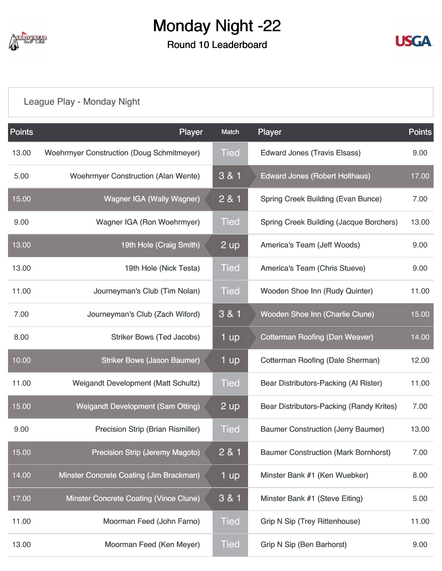

### Round 10 Leaderboard



## [League Play - Monday Night](https://static.golfgenius.com/v2tournaments/8103117107266331660?called_from=&round_index=10)

| <b>Points</b> | Player                                           | Match       | Player                                          | <b>Points</b> |
|---------------|--------------------------------------------------|-------------|-------------------------------------------------|---------------|
| 13.00         | <b>Woehrmyer Construction (Doug Schmitmeyer)</b> | <b>Tied</b> | <b>Edward Jones (Travis Elsass)</b>             | 9.00          |
| 5.00          | <b>Woehrmyer Construction (Alan Wente)</b>       | 3 & 1       | <b>Edward Jones (Robert Holthaus)</b>           | 17.00         |
| 15.00         | <b>Wagner IGA (Wally Wagner)</b>                 | 2 & 1       | <b>Spring Creek Building (Evan Bunce)</b>       | 7.00          |
| 9.00          | Wagner IGA (Ron Woehrmyer)                       | <b>Tied</b> | <b>Spring Creek Building (Jacque Borchers)</b>  | 13.00         |
| 13.00         | 19th Hole (Craig Smith)                          | 2 up        | America's Team (Jeff Woods)                     | 9.00          |
| 13.00         | 19th Hole (Nick Testa)                           | <b>Tied</b> | America's Team (Chris Stueve)                   | 9.00          |
| 11.00         | Journeyman's Club (Tim Nolan)                    | <b>Tied</b> | Wooden Shoe Inn (Rudy Quinter)                  | 11.00         |
| 7.00          | Journeyman's Club (Zach Wiford)                  | 3 & 1       | Wooden Shoe Inn (Charlie Clune)                 | 15.00         |
| 8.00          | <b>Striker Bows (Ted Jacobs)</b>                 | 1 up        | <b>Cotterman Roofing (Dan Weaver)</b>           | 14.00         |
| 10.00         | <b>Striker Bows (Jason Baumer)</b>               | 1 up        | Cotterman Roofing (Dale Sherman)                | 12.00         |
| 11.00         | <b>Weigandt Development (Matt Schultz)</b>       | Tied        | Bear Distributors-Packing (Al Rister)           | 11.00         |
| 15.00         | <b>Weigandt Development (Sam Otting)</b>         | 2 up        | <b>Bear Distributors-Packing (Randy Krites)</b> | 7.00          |
| 9.00          | <b>Precision Strip (Brian Rismiller)</b>         | <b>Tied</b> | <b>Baumer Construction (Jerry Baumer)</b>       | 13.00         |
| 15.00         | <b>Precision Strip (Jeremy Magoto)</b>           | 2 & 1       | <b>Baumer Construction (Mark Bornhorst)</b>     | 7.00          |
| 14.00         | Minster Concrete Coating (Jim Brackman)          | 1 up        | Minster Bank #1 (Ken Wuebker)                   | 8.00          |
| 17.00         | Minster Concrete Coating (Vince Clune)           | 3 & 1       | Minster Bank #1 (Steve Eiting)                  | 5.00          |
| 11.00         | Moorman Feed (John Farno)                        | <b>Tied</b> | <b>Grip N Sip (Trey Rittenhouse)</b>            | 11.00         |
| 13.00         | Moorman Feed (Ken Meyer)                         | <b>Tied</b> | <b>Grip N Sip (Ben Barhorst)</b>                | 9.00          |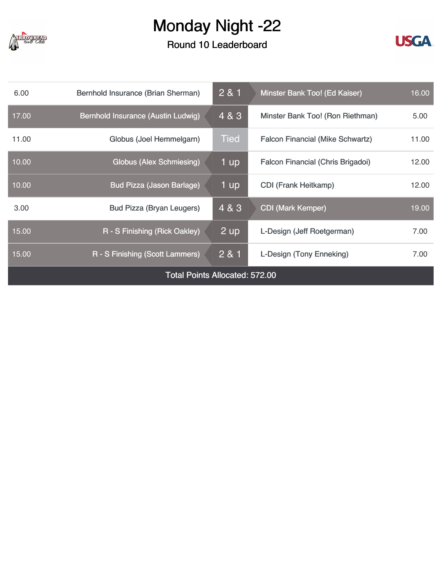

Round 10 Leaderboard



| 6.00                                  | Bernhold Insurance (Brian Sherman) | 2 & 1          | 16.00<br>Minster Bank Too! (Ed Kaiser)  |       |
|---------------------------------------|------------------------------------|----------------|-----------------------------------------|-------|
| 17.00                                 | Bernhold Insurance (Austin Ludwig) | 4 & 3          | Minster Bank Too! (Ron Riethman)        | 5.00  |
| 11.00                                 | Globus (Joel Hemmelgarn)           | <b>Tied</b>    | <b>Falcon Financial (Mike Schwartz)</b> | 11.00 |
| 10.00                                 | Globus (Alex Schmiesing)           | 1 up           | Falcon Financial (Chris Brigadoi)       | 12.00 |
| 10.00                                 | <b>Bud Pizza (Jason Barlage)</b>   | 1 up           | <b>CDI</b> (Frank Heitkamp)             | 12.00 |
| 3.00                                  | <b>Bud Pizza (Bryan Leugers)</b>   | 4 & 3          | <b>CDI (Mark Kemper)</b>                | 19.00 |
| 15.00                                 | R - S Finishing (Rick Oakley)      | $2 \text{ up}$ | L-Design (Jeff Roetgerman)              | 7.00  |
| 15.00                                 | R - S Finishing (Scott Lammers)    | 2 & 1          | L-Design (Tony Enneking)<br>7.00        |       |
| <b>Total Points Allocated: 572.00</b> |                                    |                |                                         |       |